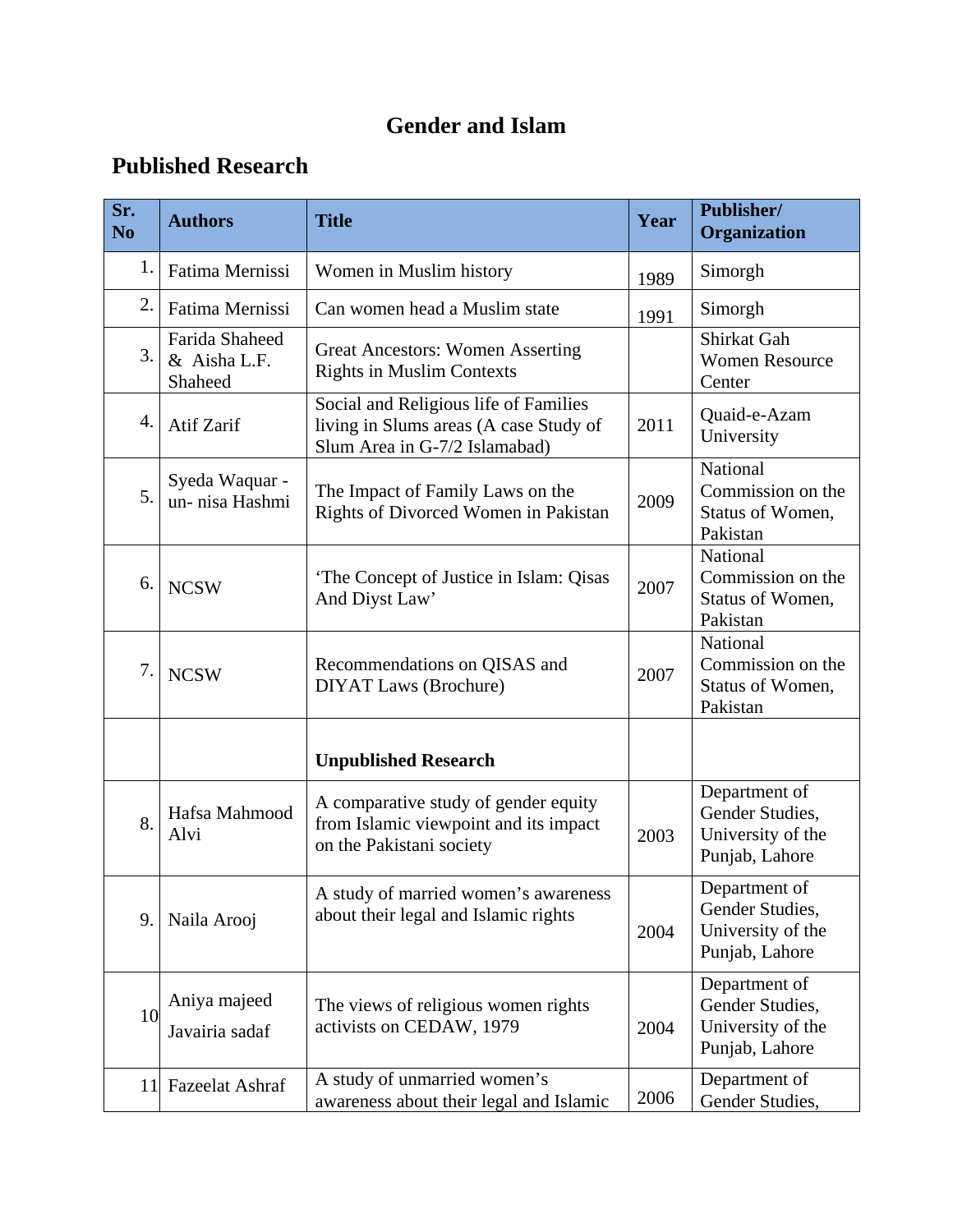## **Gender and Islam**

## **Published Research**

| Sr.<br>N <sub>o</sub> | <b>Authors</b>                            | <b>Title</b>                                                                                                     | Year | Publisher/<br>Organization                                              |
|-----------------------|-------------------------------------------|------------------------------------------------------------------------------------------------------------------|------|-------------------------------------------------------------------------|
| 1.                    | Fatima Mernissi                           | Women in Muslim history                                                                                          | 1989 | Simorgh                                                                 |
| 2.                    | Fatima Mernissi                           | Can women head a Muslim state                                                                                    | 1991 | Simorgh                                                                 |
| 3.                    | Farida Shaheed<br>& Aisha L.F.<br>Shaheed | <b>Great Ancestors: Women Asserting</b><br><b>Rights in Muslim Contexts</b>                                      |      | Shirkat Gah<br><b>Women Resource</b><br>Center                          |
| 4.                    | Atif Zarif                                | Social and Religious life of Families<br>living in Slums areas (A case Study of<br>Slum Area in G-7/2 Islamabad) | 2011 | Quaid-e-Azam<br>University                                              |
| 5.                    | Syeda Waquar -<br>un-nisa Hashmi          | The Impact of Family Laws on the<br>Rights of Divorced Women in Pakistan                                         | 2009 | National<br>Commission on the<br>Status of Women,<br>Pakistan           |
| 6.                    | <b>NCSW</b>                               | The Concept of Justice in Islam: Qisas<br>And Diyst Law'                                                         | 2007 | National<br>Commission on the<br>Status of Women,<br>Pakistan           |
| 7.                    | <b>NCSW</b>                               | Recommendations on QISAS and<br><b>DIYAT Laws (Brochure)</b>                                                     | 2007 | National<br>Commission on the<br>Status of Women,<br>Pakistan           |
|                       |                                           | <b>Unpublished Research</b>                                                                                      |      |                                                                         |
| 8.                    | Hafsa Mahmood<br>Alvi                     | A comparative study of gender equity<br>from Islamic viewpoint and its impact<br>on the Pakistani society        | 2003 | Department of<br>Gender Studies,<br>University of the<br>Punjab, Lahore |
| 9.                    | Naila Arooj                               | A study of married women's awareness<br>about their legal and Islamic rights                                     | 2004 | Department of<br>Gender Studies,<br>University of the<br>Punjab, Lahore |
| 10                    | Aniya majeed<br>Javairia sadaf            | The views of religious women rights<br>activists on CEDAW, 1979                                                  | 2004 | Department of<br>Gender Studies,<br>University of the<br>Punjab, Lahore |
| <sup>11</sup>         | <b>Fazeelat Ashraf</b>                    | A study of unmarried women's<br>awareness about their legal and Islamic                                          | 2006 | Department of<br>Gender Studies,                                        |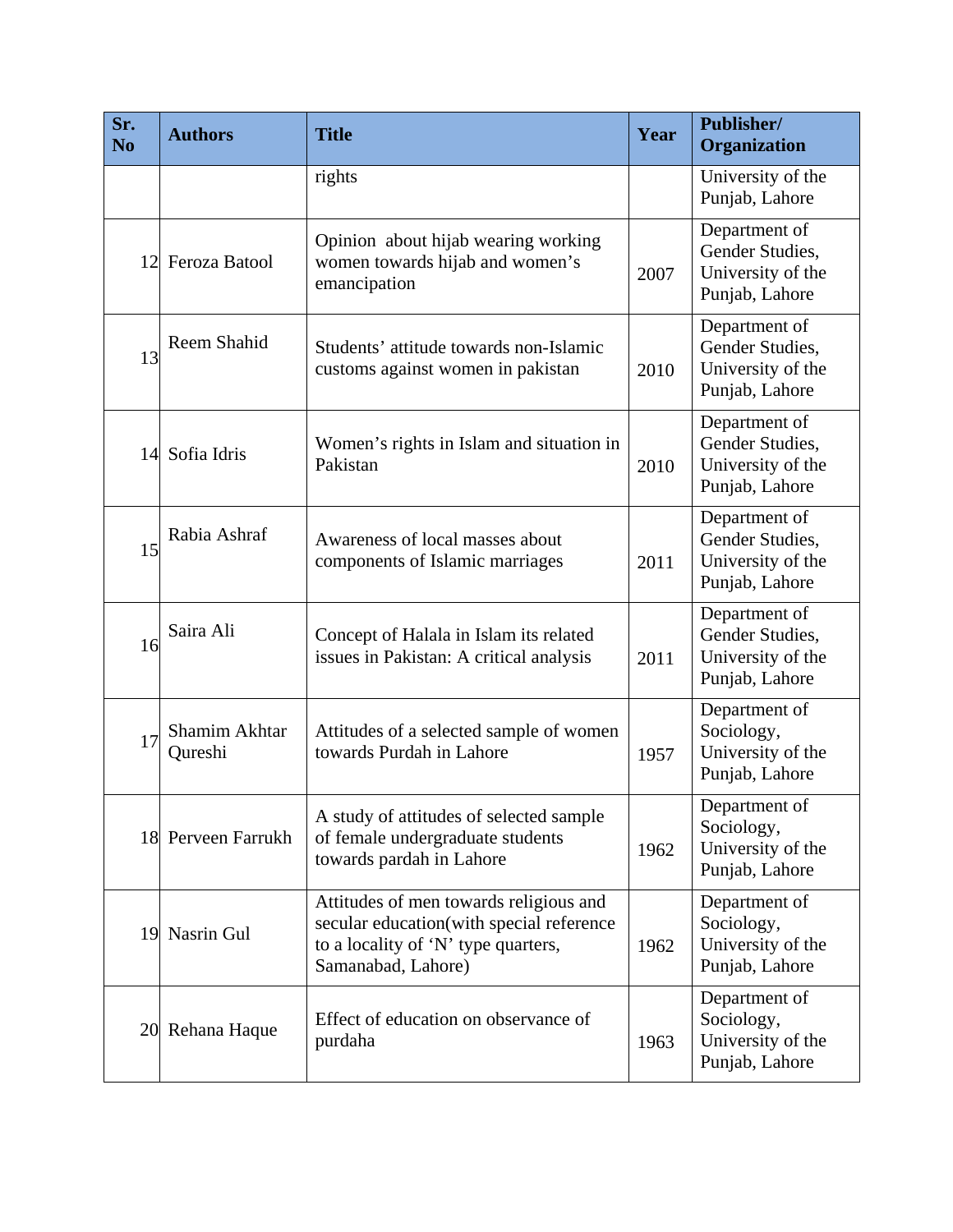| Sr.<br>N <sub>0</sub> | <b>Authors</b>           | <b>Title</b>                                                                                                                                    | Year | Publisher/<br>Organization                                              |
|-----------------------|--------------------------|-------------------------------------------------------------------------------------------------------------------------------------------------|------|-------------------------------------------------------------------------|
|                       |                          | rights                                                                                                                                          |      | University of the<br>Punjab, Lahore                                     |
| 12                    | Feroza Batool            | Opinion about hijab wearing working<br>women towards hijab and women's<br>emancipation                                                          | 2007 | Department of<br>Gender Studies,<br>University of the<br>Punjab, Lahore |
| 13                    | Reem Shahid              | Students' attitude towards non-Islamic<br>customs against women in pakistan                                                                     | 2010 | Department of<br>Gender Studies,<br>University of the<br>Punjab, Lahore |
|                       | 14 Sofia Idris           | Women's rights in Islam and situation in<br>Pakistan                                                                                            | 2010 | Department of<br>Gender Studies,<br>University of the<br>Punjab, Lahore |
| 15                    | Rabia Ashraf             | Awareness of local masses about<br>components of Islamic marriages                                                                              | 2011 | Department of<br>Gender Studies,<br>University of the<br>Punjab, Lahore |
| 16                    | Saira Ali                | Concept of Halala in Islam its related<br>issues in Pakistan: A critical analysis                                                               | 2011 | Department of<br>Gender Studies,<br>University of the<br>Punjab, Lahore |
| 17                    | Shamim Akhtar<br>Qureshi | Attitudes of a selected sample of women<br>towards Purdah in Lahore                                                                             | 1957 | Department of<br>Sociology,<br>University of the<br>Punjab, Lahore      |
|                       | 18 Perveen Farrukh       | A study of attitudes of selected sample<br>of female undergraduate students<br>towards pardah in Lahore                                         | 1962 | Department of<br>Sociology,<br>University of the<br>Punjab, Lahore      |
|                       | 19 Nasrin Gul            | Attitudes of men towards religious and<br>secular education(with special reference<br>to a locality of 'N' type quarters,<br>Samanabad, Lahore) | 1962 | Department of<br>Sociology,<br>University of the<br>Punjab, Lahore      |
|                       | 20 Rehana Haque          | Effect of education on observance of<br>purdaha                                                                                                 | 1963 | Department of<br>Sociology,<br>University of the<br>Punjab, Lahore      |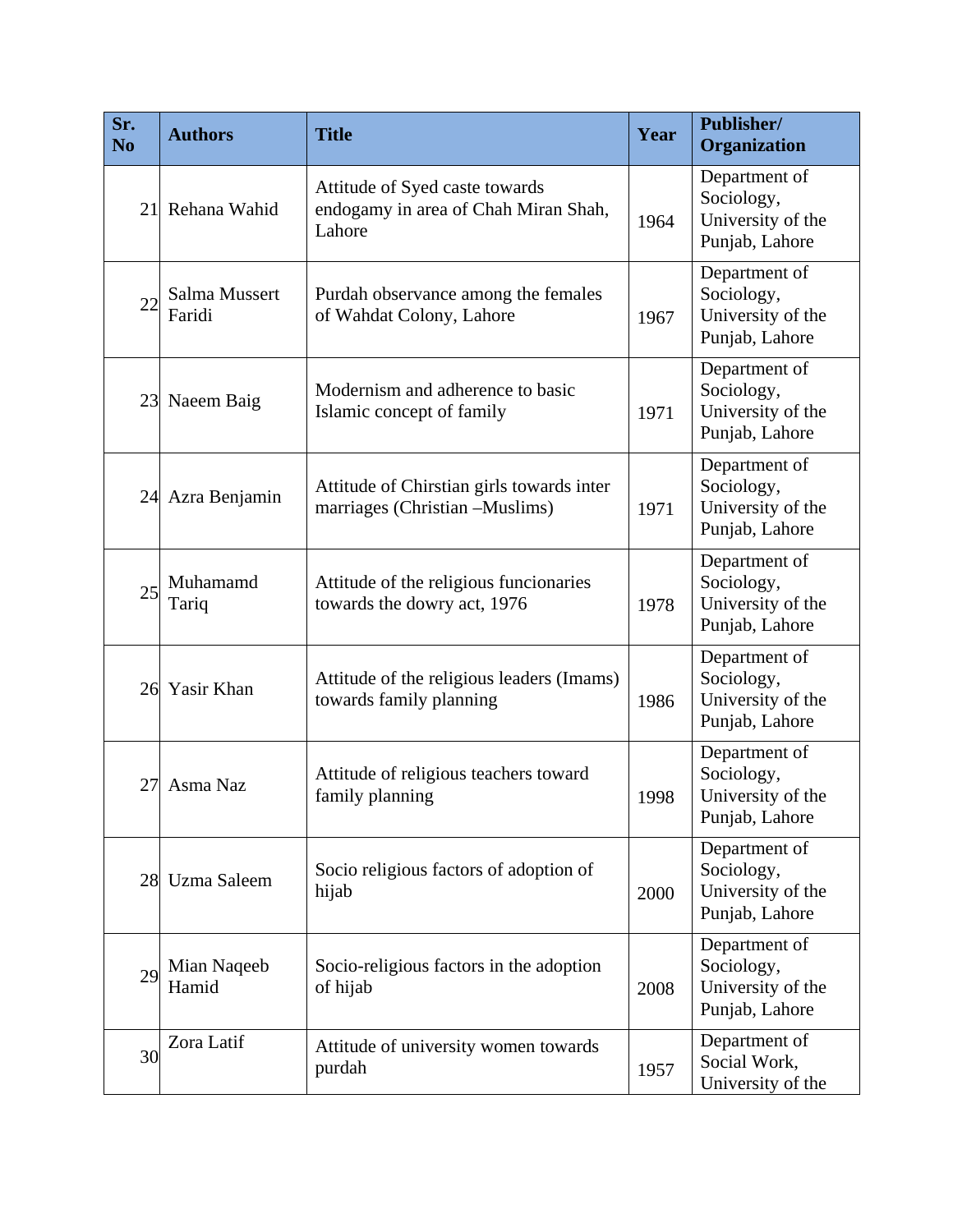| Sr.<br>N <sub>o</sub> | <b>Authors</b>          | <b>Title</b>                                                                     | Year | Publisher/<br>Organization                                         |
|-----------------------|-------------------------|----------------------------------------------------------------------------------|------|--------------------------------------------------------------------|
| 21                    | Rehana Wahid            | Attitude of Syed caste towards<br>endogamy in area of Chah Miran Shah,<br>Lahore | 1964 | Department of<br>Sociology,<br>University of the<br>Punjab, Lahore |
| 22                    | Salma Mussert<br>Faridi | Purdah observance among the females<br>of Wahdat Colony, Lahore                  | 1967 | Department of<br>Sociology,<br>University of the<br>Punjab, Lahore |
| 23                    | Naeem Baig              | Modernism and adherence to basic<br>Islamic concept of family                    | 1971 | Department of<br>Sociology,<br>University of the<br>Punjab, Lahore |
| 24                    | Azra Benjamin           | Attitude of Chirstian girls towards inter<br>marriages (Christian -Muslims)      | 1971 | Department of<br>Sociology,<br>University of the<br>Punjab, Lahore |
| 25                    | Muhamamd<br>Tariq       | Attitude of the religious funcionaries<br>towards the dowry act, 1976            | 1978 | Department of<br>Sociology,<br>University of the<br>Punjab, Lahore |
|                       | 26 Yasir Khan           | Attitude of the religious leaders (Imams)<br>towards family planning             | 1986 | Department of<br>Sociology,<br>University of the<br>Punjab, Lahore |
| 27                    | Asma Naz                | Attitude of religious teachers toward<br>family planning                         | 1998 | Department of<br>Sociology,<br>University of the<br>Punjab, Lahore |
| 28                    | Uzma Saleem             | Socio religious factors of adoption of<br>hijab                                  | 2000 | Department of<br>Sociology,<br>University of the<br>Punjab, Lahore |
| 29                    | Mian Naqeeb<br>Hamid    | Socio-religious factors in the adoption<br>of hijab                              | 2008 | Department of<br>Sociology,<br>University of the<br>Punjab, Lahore |
| 30                    | Zora Latif              | Attitude of university women towards<br>purdah                                   | 1957 | Department of<br>Social Work,<br>University of the                 |